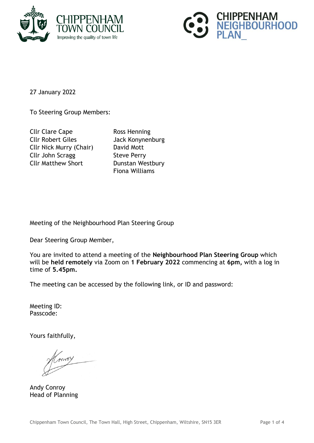



27 January 2022

To Steering Group Members:

Cllr Clare Cape Ross Henning Cllr Robert Giles Jack Konynenburg Cllr Nick Murry (Chair) David Mott Cllr John Scragg Steve Perry Cllr Matthew Short Dunstan Westbury

Fiona Williams

Meeting of the Neighbourhood Plan Steering Group

Dear Steering Group Member,

You are invited to attend a meeting of the **Neighbourhood Plan Steering Group** which will be **held remotely** via Zoom on **1 February 2022** commencing at **6pm,** with a log in time of **5.45pm.**

The meeting can be accessed by the following link, or ID and password:

Meeting ID: Passcode:

Yours faithfully,

Andy Conroy Head of Planning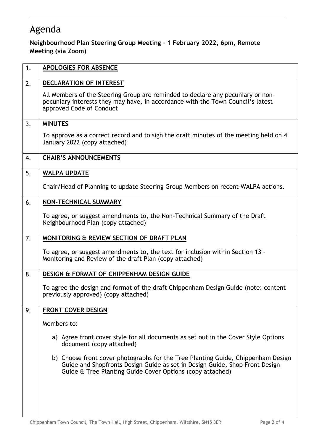## Agenda

ı

## **Neighbourhood Plan Steering Group Meeting – 1 February 2022, 6pm, Remote Meeting (via Zoom)**

| 1. | <b>APOLOGIES FOR ABSENCE</b>                                                                                                                                                                                                 |
|----|------------------------------------------------------------------------------------------------------------------------------------------------------------------------------------------------------------------------------|
| 2. | DECLARATION OF INTEREST                                                                                                                                                                                                      |
|    | All Members of the Steering Group are reminded to declare any pecuniary or non-<br>pecuniary interests they may have, in accordance with the Town Council's latest<br>approved Code of Conduct                               |
| 3. | <b>MINUTES</b>                                                                                                                                                                                                               |
|    | To approve as a correct record and to sign the draft minutes of the meeting held on 4<br>January 2022 (copy attached)                                                                                                        |
| 4. | <b>CHAIR'S ANNOUNCEMENTS</b>                                                                                                                                                                                                 |
| 5. | <b>WALPA UPDATE</b>                                                                                                                                                                                                          |
|    | Chair/Head of Planning to update Steering Group Members on recent WALPA actions.                                                                                                                                             |
| 6. | <b>NON-TECHNICAL SUMMARY</b>                                                                                                                                                                                                 |
|    | To agree, or suggest amendments to, the Non-Technical Summary of the Draft<br>Neighbourhood Plan (copy attached)                                                                                                             |
| 7. | MONITORING & REVIEW SECTION OF DRAFT PLAN                                                                                                                                                                                    |
|    | To agree, or suggest amendments to, the text for inclusion within Section 13 -<br>Monitoring and Review of the draft Plan (copy attached)                                                                                    |
| 8. | DESIGN & FORMAT OF CHIPPENHAM DESIGN GUIDE                                                                                                                                                                                   |
|    | To agree the design and format of the draft Chippenham Design Guide (note: content<br>previously approved) (copy attached)                                                                                                   |
| 9. | <b>FRONT COVER DESIGN</b>                                                                                                                                                                                                    |
|    | Members to:                                                                                                                                                                                                                  |
|    | a) Agree front cover style for all documents as set out in the Cover Style Options<br>document (copy attached)                                                                                                               |
|    | b) Choose front cover photographs for the Tree Planting Guide, Chippenham Design<br>Guide and Shopfronts Design Guide as set in Design Guide, Shop Front Design<br>Guide & Tree Planting Guide Cover Options (copy attached) |
|    |                                                                                                                                                                                                                              |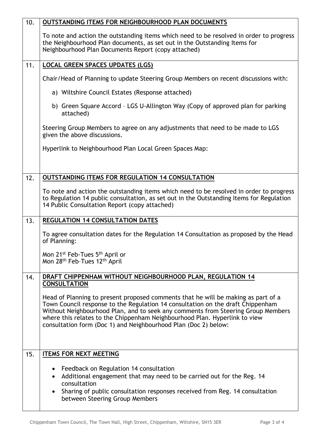| 10. | <b>OUTSTANDING ITEMS FOR NEIGHBOURHOOD PLAN DOCUMENTS</b>                                                                                                                                                                                                                                                                                                                                                 |
|-----|-----------------------------------------------------------------------------------------------------------------------------------------------------------------------------------------------------------------------------------------------------------------------------------------------------------------------------------------------------------------------------------------------------------|
|     | To note and action the outstanding items which need to be resolved in order to progress<br>the Neighbourhood Plan documents, as set out in the Outstanding Items for<br>Neighbourhood Plan Documents Report (copy attached)                                                                                                                                                                               |
| 11. | <b>LOCAL GREEN SPACES UPDATES (LGS)</b>                                                                                                                                                                                                                                                                                                                                                                   |
|     | Chair/Head of Planning to update Steering Group Members on recent discussions with:                                                                                                                                                                                                                                                                                                                       |
|     | a) Wiltshire Council Estates (Response attached)                                                                                                                                                                                                                                                                                                                                                          |
|     | b) Green Square Accord - LGS U-Allington Way (Copy of approved plan for parking<br>attached)                                                                                                                                                                                                                                                                                                              |
|     | Steering Group Members to agree on any adjustments that need to be made to LGS<br>given the above discussions.                                                                                                                                                                                                                                                                                            |
|     | Hyperlink to Neighbourhood Plan Local Green Spaces Map:                                                                                                                                                                                                                                                                                                                                                   |
|     |                                                                                                                                                                                                                                                                                                                                                                                                           |
| 12. | <b>OUTSTANDING ITEMS FOR REGULATION 14 CONSULTATION</b>                                                                                                                                                                                                                                                                                                                                                   |
|     | To note and action the outstanding items which need to be resolved in order to progress<br>to Regulation 14 public consultation, as set out in the Outstanding Items for Regulation<br>14 Public Consultation Report (copy attached)                                                                                                                                                                      |
|     |                                                                                                                                                                                                                                                                                                                                                                                                           |
| 13. | <b>REGULATION 14 CONSULTATION DATES</b>                                                                                                                                                                                                                                                                                                                                                                   |
|     | To agree consultation dates for the Regulation 14 Consultation as proposed by the Head<br>of Planning:                                                                                                                                                                                                                                                                                                    |
|     | Mon 21 <sup>st</sup> Feb-Tues 5 <sup>th</sup> April or<br>Mon 28 <sup>th</sup> Feb-Tues 12 <sup>th</sup> April                                                                                                                                                                                                                                                                                            |
| 14. | DRAFT CHIPPENHAM WITHOUT NEIGHBOURHOOD PLAN, REGULATION 14                                                                                                                                                                                                                                                                                                                                                |
|     | <b>CONSULTATION</b>                                                                                                                                                                                                                                                                                                                                                                                       |
|     | Head of Planning to present proposed comments that he will be making as part of a<br>Town Council response to the Regulation 14 consultation on the draft Chippenham<br>Without Neighbourhood Plan, and to seek any comments from Steering Group Members<br>where this relates to the Chippenham Neighbourhood Plan. Hyperlink to view<br>consultation form (Doc 1) and Neighbourhood Plan (Doc 2) below: |
|     |                                                                                                                                                                                                                                                                                                                                                                                                           |
| 15. | <b>ITEMS FOR NEXT MEETING</b>                                                                                                                                                                                                                                                                                                                                                                             |
|     | Feedback on Regulation 14 consultation<br>$\bullet$                                                                                                                                                                                                                                                                                                                                                       |
|     | Additional engagement that may need to be carried out for the Reg. 14<br>$\bullet$<br>consultation                                                                                                                                                                                                                                                                                                        |